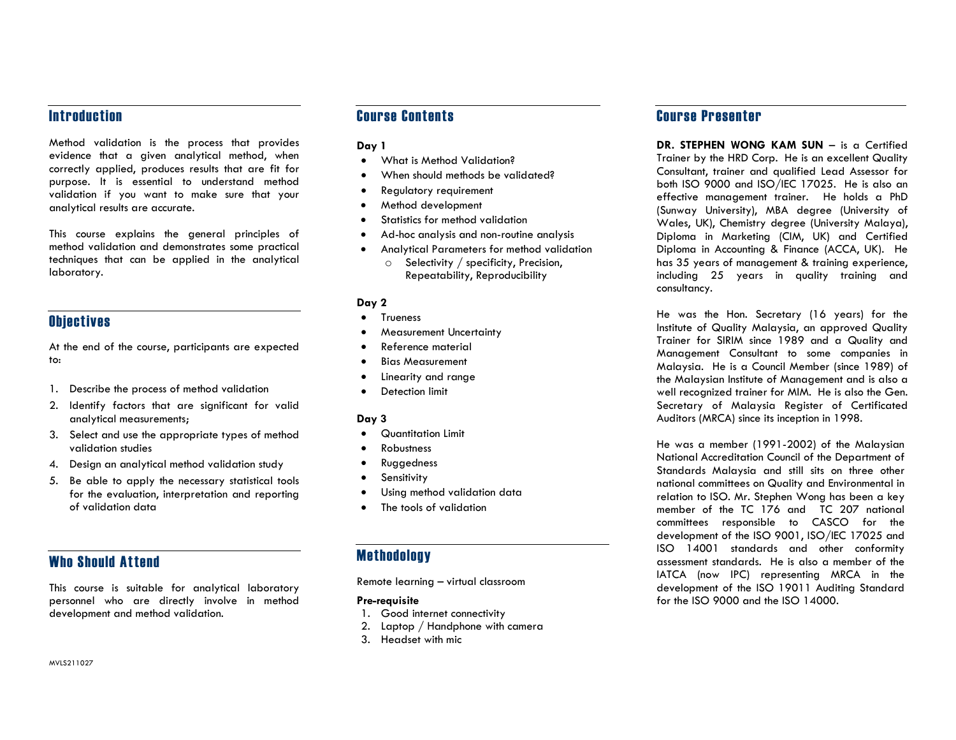### **Introduction**

Method validation is the process that provides evidence that a given analytical method, when correctly applied, produces results that are fit for purpose. It is essential to understand method validation if you want to make sure that your analytical results are accurate.

This course explains the general principles of method validation and demonstrates some practical techniques that can be applied in the analytical laboratory.

## **Objectives**

At the end of the course, participants are expected to:

- 1. Describe the process of method validation
- 2. Identify factors that are significant for valid analytical measurements;
- 3. Select and use the appropriate types of method validation studies
- 4. Design an analytical method validation study
- 5. Be able to apply the necessary statistical tools for the evaluation, interpretation and reporting of validation data

## Who Should Attend

This course is suitable for analytical laboratory personnel who are directly involve in method development and method validation.

## Course Contents

#### Day 1

- What is Method Validation?
- When should methods be validated?
- Regulatory requirement
- Method development
- Statistics for method validation
- Ad-hoc analysis and non-routine analysis
- Analytical Parameters for method validation
	- o Selectivity / specificity, Precision, Repeatability, Reproducibility

#### Day 2

- Trueness
- Measurement Uncertainty
- Reference material
- **•** Bias Measurement
- Linearity and range
- **•** Detection limit

#### Day 3

- Quantitation Limit
- Robustness
- Ruggedness
- **•** Sensitivity
- Using method validation data
- The tools of validation

## **Methodology**

Remote learning – virtual classroom

#### Pre-requisite

- 1. Good internet connectivity
- 2. Laptop / Handphone with camera
- 3. Headset with mic

# Course Presenter

DR. STEPHEN WONG KAM SUN - is a Certified Trainer by the HRD Corp. He is an excellent Quality Consultant, trainer and qualified Lead Assessor for both ISO 9000 and ISO/IEC 17025. He is also an effective management trainer. He holds a PhD (Sunway University), MBA degree (University of Wales, UK), Chemistry degree (University Malaya), Diploma in Marketing (CIM, UK) and Certified Diploma in Accounting & Finance (ACCA, UK). He has 35 years of management & training experience, including 25 years in quality training and consultancy.

He was the Hon. Secretary (16 years) for the Institute of Quality Malaysia, an approved Quality Trainer for SIRIM since 1989 and a Quality and Management Consultant to some companies in Malaysia. He is a Council Member (since 1989) of the Malaysian Institute of Management and is also a well recognized trainer for MIM. He is also the Gen. Secretary of Malaysia Register of Certificated Auditors (MRCA) since its inception in 1998.

He was a member (1991-2002) of the Malaysian National Accreditation Council of the Department of Standards Malaysia and still sits on three other national committees on Quality and Environmental in relation to ISO. Mr. Stephen Wong has been a key member of the TC 176 and TC 207 national committees responsible to CASCO for the development of the ISO 9001, ISO/IEC 17025 and ISO 14001 standards and other conformity assessment standards. He is also a member of the IATCA (now IPC) representing MRCA in the development of the ISO 19011 Auditing Standard for the ISO 9000 and the ISO 14000.